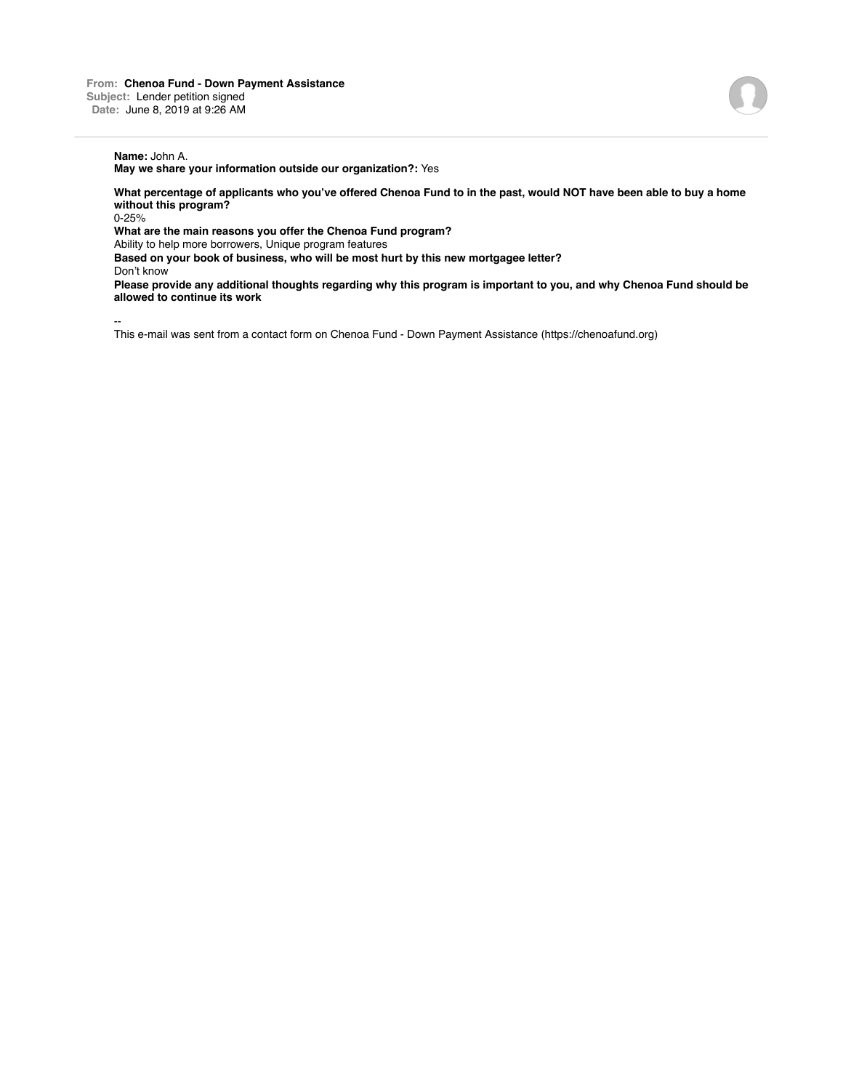**May we share your information outside our organization?:** Yes

**What percentage of applicants who you've offered Chenoa Fund to in the past, would NOT have been able to buy a home without this program?**

0-25%

**What are the main reasons you offer the Chenoa Fund program?**

Ability to help more borrowers, Unique program features

**Based on your book of business, who will be most hurt by this new mortgagee letter?**

Don't know

**Please provide any additional thoughts regarding why this program is important to you, and why Chenoa Fund should be allowed to continue its work**

--

This e-mail was sent from a contact form on Chenoa Fund - Down Payment Assistance (https://chenoafund.org)